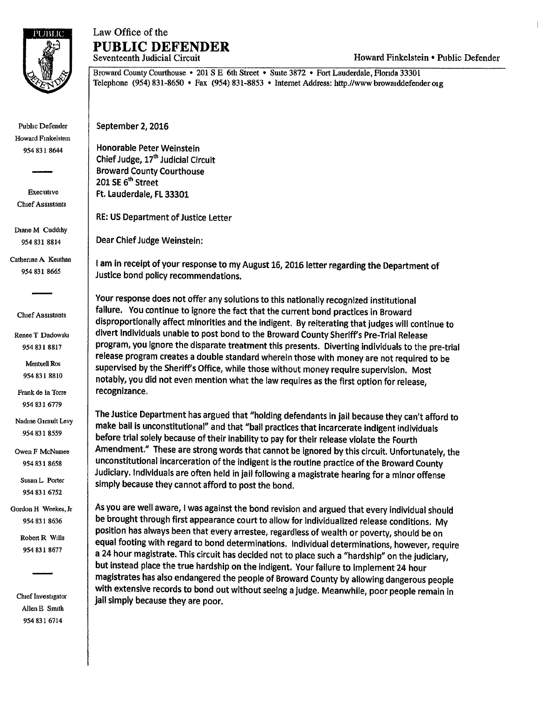

## Law Office of the **PUBLIC DEFENDER**

Howard Finkelstein • Public Defender

Broward County Courthouse • 201 S E 6th Street • Suite 3872 • Fort Lauderdale, Florida 33301 Telephone (954) 831-8650 • Fax (954) 831-8853 • Internet Address: http.//www.browaiddefender org

September 2, 2016

Honorable Peter Weinstein Chief Judge, 17<sup>th</sup> Judicial Circuit Broward County Courthouse 201 SE 6<sup>th</sup> Street Ft. Lauderdale, FL 33301

RE: us Department of Justice Letter

Dear Chief Judge Weinstein:

I am in receipt of your response to my August 16, 2016 letter regarding the Department of Justice bond policy recommendations.

Your response does not offer any solutions to this nationally recognized institutional failure. You continue to ignore the fact that the current bond practices in Broward disproportionally affect minorities and the indigent. By reiterating that judges will continue to divert individuals unable to post bond to the Broward County Sheriff's Pre-Trial Release program, you ignore the disparate treatment this presents. Diverting individuals to the pre-trial release program creates a double standard wherein those with money are not required to be supervised by the Sheriff's Office, while those without money require supervision. Most notably, you did not even mention what the law requires as the first option for release, recognizance.

The Justice Department has argued that "holding defendants in jail because they can't afford to make bail is unconstitutional" and that "ball practices that incarcerate indigent individuals before trial solely because of their inability to pay for their release violate the Fourth Amendment." These are strong words that cannot be ignored by this circuit. Unfortunately, the unconstitutional incarceration of the indigent is the routine practice of the Broward County Judiciary. Individuals are often held in jail following a magistrate hearing for a minor offense simply because they cannot afford to post the bond.

As you are well aware, I was against the bond revision and argued that every individual should be brought through first appearance court to allow for individualized release conditions. My position has always been that every arrestee, regardless of wealth or poverty, should be on equal footing with regard to bond determinations. Individual determinations, however, require a 24 hour magistrate. This circuit has decided not to place such a "hardship" on the judiciary, but instead place the true hardship on the indigent. Your failure to implement 24 hour magistrates has also endangered the people of Broward County by allowing dangerous people with extensive records to bond out without seeing a judge. Meanwhile, poor people remain in jail simply because they are poor.

Executive Chief Assistants

Pubhc Defender Howard Finkelstem 954 831 8644

Diane M Cuddihy 954 831 8814

Catherine A Keuthan 954 831 8665

Chief Assistants

Renee T Dadowski 954 831 8817

> Mentxell Ros 954 831 8810

Frank de la Torre 954 831 6779

Nadine Girault Levy 954 831 8559

Owen F McNamee 954 831 8658

Susan L Porter 954 831 6752

Gordon H Weekes, Jr 954 831 8636

> Robert R Wills 954 831 8677

Chief Investigator Allen E Smith 954 831 6714